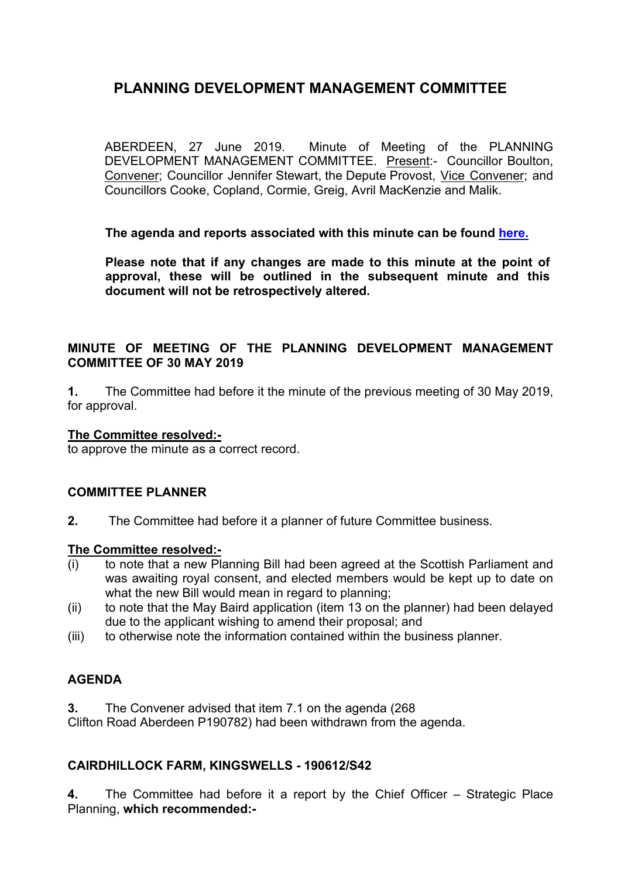# **PLANNING DEVELOPMENT MANAGEMENT COMMITTEE**

ABERDEEN, 27 June 2019. Minute of Meeting of the PLANNING DEVELOPMENT MANAGEMENT COMMITTEE. Present:- Councillor Boulton, Convener; Councillor Jennifer Stewart, the Depute Provost, Vice Convener; and Councillors Cooke, Copland, Cormie, Greig, Avril MacKenzie and Malik.

**The agenda and reports associated with this minute can be found [here.](https://committees.aberdeencity.gov.uk/ieListDocuments.aspx?CId=348&MId=6670&Ver=4)**

**Please note that if any changes are made to this minute at the point of approval, these will be outlined in the subsequent minute and this document will not be retrospectively altered.**

#### **MINUTE OF MEETING OF THE PLANNING DEVELOPMENT MANAGEMENT COMMITTEE OF 30 MAY 2019**

**1.** The Committee had before it the minute of the previous meeting of 30 May 2019, for approval.

#### **The Committee resolved:-**

to approve the minute as a correct record.

#### **COMMITTEE PLANNER**

**2.** The Committee had before it a planner of future Committee business.

#### **The Committee resolved:-**

- (i) to note that a new Planning Bill had been agreed at the Scottish Parliament and was awaiting royal consent, and elected members would be kept up to date on what the new Bill would mean in regard to planning;
- (ii) to note that the May Baird application (item 13 on the planner) had been delayed due to the applicant wishing to amend their proposal; and
- (iii) to otherwise note the information contained within the business planner.

## **AGENDA**

**3.** The Convener advised that item 7.1 on the agenda (268

Clifton Road Aberdeen P190782) had been withdrawn from the agenda.

#### **CAIRDHILLOCK FARM, KINGSWELLS - 190612/S42**

**4.** The Committee had before it a report by the Chief Officer – Strategic Place Planning, **which recommended:-**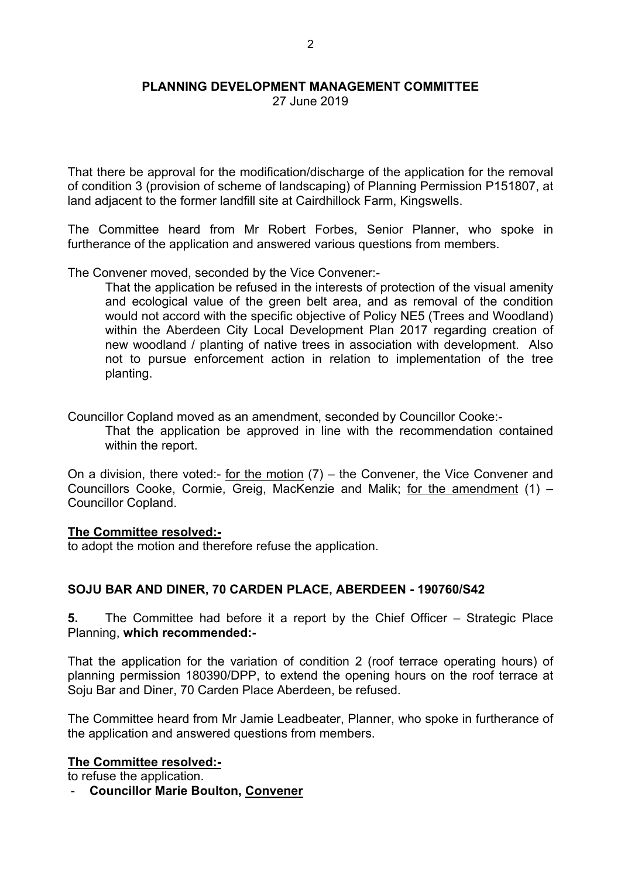#### **PLANNING DEVELOPMENT MANAGEMENT COMMITTEE**

27 June 2019

That there be approval for the modification/discharge of the application for the removal of condition 3 (provision of scheme of landscaping) of Planning Permission P151807, at land adjacent to the former landfill site at Cairdhillock Farm, Kingswells.

The Committee heard from Mr Robert Forbes, Senior Planner, who spoke in furtherance of the application and answered various questions from members.

The Convener moved, seconded by the Vice Convener:-

That the application be refused in the interests of protection of the visual amenity and ecological value of the green belt area, and as removal of the condition would not accord with the specific objective of Policy NE5 (Trees and Woodland) within the Aberdeen City Local Development Plan 2017 regarding creation of new woodland / planting of native trees in association with development. Also not to pursue enforcement action in relation to implementation of the tree planting.

Councillor Copland moved as an amendment, seconded by Councillor Cooke:-

That the application be approved in line with the recommendation contained within the report.

On a division, there voted:- for the motion  $(7)$  – the Convener, the Vice Convener and Councillors Cooke, Cormie, Greig, MacKenzie and Malik; for the amendment (1) – Councillor Copland.

#### **The Committee resolved:-**

to adopt the motion and therefore refuse the application.

## **SOJU BAR AND DINER, 70 CARDEN PLACE, ABERDEEN - 190760/S42**

**5.** The Committee had before it a report by the Chief Officer – Strategic Place Planning, **which recommended:-**

That the application for the variation of condition 2 (roof terrace operating hours) of planning permission 180390/DPP, to extend the opening hours on the roof terrace at Soju Bar and Diner, 70 Carden Place Aberdeen, be refused.

The Committee heard from Mr Jamie Leadbeater, Planner, who spoke in furtherance of the application and answered questions from members.

#### **The Committee resolved:-**

to refuse the application.

- **Councillor Marie Boulton, Convener**